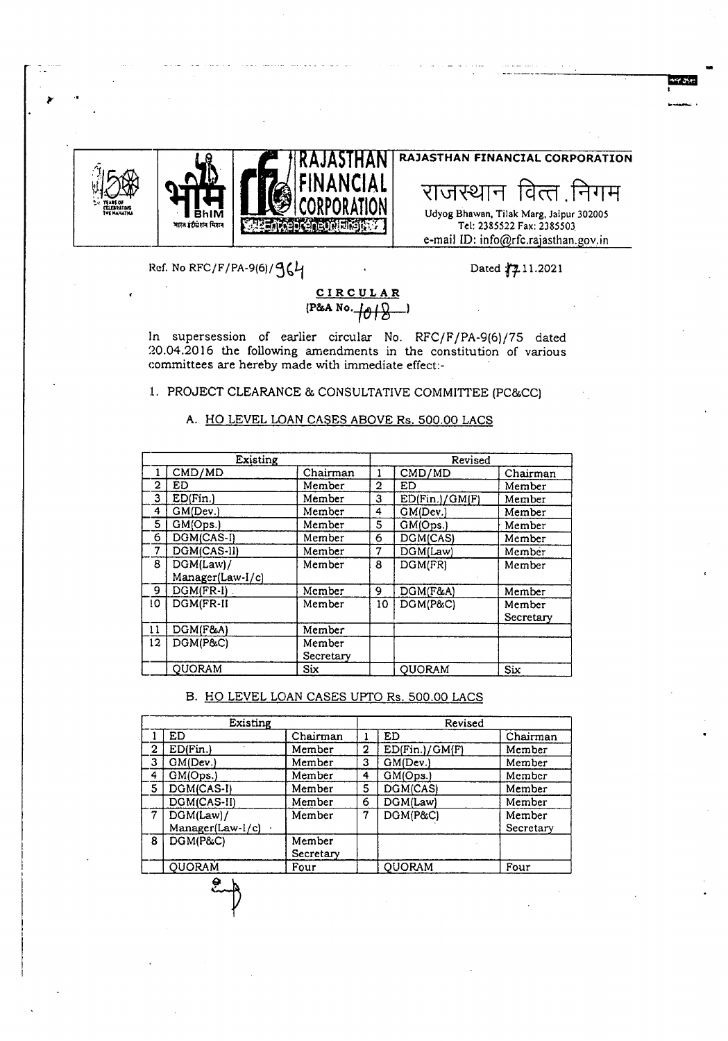



### राजस्थान वित्त निगम Udyog Bhawan, Tilak Marg, Jaipur 302005 Tel: 2385522 Fax: 2385503 e-mail ID: info@rfc.rajasthan.gov.in

**RAJASTHAN FINANCIAL CORPORATION**

**Impression**<br>I

Ref. No RFC/F/PA-9(6)/ $96'$ 

Dated  $\sqrt{2}11.2021$ 

## **CIRCULAR**  $(P&A No. 101)$

In supersession of earlier circular No. RFC/F/PA-9(6)/75 dated 20.04.2016 the following amendments in the constitution of various committees are hereby made with immediate effect:- .

1. PROJECT CLEARANCE & CONSULTATIVE COMMITTEE (PC&CC)

#### A. HO LEVEL LOAN CASES ABOVE Rs. 500.00 LACS

|                | Existing          |            |    | Revised        |           |  |
|----------------|-------------------|------------|----|----------------|-----------|--|
|                | CMD/MD            | Chairman   |    | CMD/MD         | Chairman  |  |
| $\overline{2}$ | <b>ED</b>         | Member     | 2  | ED             | Member    |  |
| 3              | ED(Fin.)          | Member     | 3  | ED(Fin.)/GM(F) | Member    |  |
| 4              | GM(Dev.)          | Member     | 4  | GM(Dev.)       | Member    |  |
| 5              | GM(Ops.)          | Member     | 5  | GM(Ops.)       | Member    |  |
| 6              | DGM(CAS-I)        | Member     | 6  | DGM(CAS)       | Member    |  |
| 7              | DGM(CAS-II)       | Member     | 7  | DGM(Law)       | Member    |  |
| 8              | DGM(Law)/         | Member     | 8  | DGM(FR)        | Member    |  |
|                | Manager(Law-I/c)  |            |    |                |           |  |
| 9              | $DGM(FR-I)$       | Member     | 9  | DGM(F&A)       | Member    |  |
| 10             | $DGM$ $FR$ - $II$ | Member     | 10 | DGM(P&C)       | Member    |  |
|                |                   |            |    |                | Secretary |  |
| 11             | DGM(F&A)          | Member     |    |                |           |  |
| 12             | DGM(P&C)          | Member     |    |                |           |  |
|                |                   | Secretary  |    |                |           |  |
|                | <b>QUORAM</b>     | <b>Six</b> |    | <b>QUORAM</b>  | Six       |  |

#### B. HO LEVEL LOAN CASES UPTO Rs. 500.00 LACS

|              | Existing                              |                     |   | Revised        |                     |
|--------------|---------------------------------------|---------------------|---|----------------|---------------------|
|              | <b>ED</b>                             | Chairman            |   | ED             | Chairman            |
| $\mathbf{2}$ | ED(Fin.)                              | Member              | 2 | ED(Fin.)/GM(F) | Member              |
| 3            | GM(Dev.)                              | Member              | 3 | GM(Dev.)       | Member              |
| 4            | GM(Ops.)                              | Member              | 4 | GM(Ops.)       | Member              |
| 5            | DGM(CAS-I)                            | Member              | 5 | DGM(CAS)       | Member              |
|              | DGM(CAS-II)                           | Member              | 6 | DGM(Law)       | Member              |
| 7            | DGM(Law)/<br>Manager(Law-I/c) $\cdot$ | Member              | 7 | DGM(P&C)       | Member<br>Secretary |
| 8            | DGM(P&C)                              | Member<br>Secretary |   |                |                     |
|              | <b>QUORAM</b>                         | Four                |   | <b>QUORAM</b>  | Four                |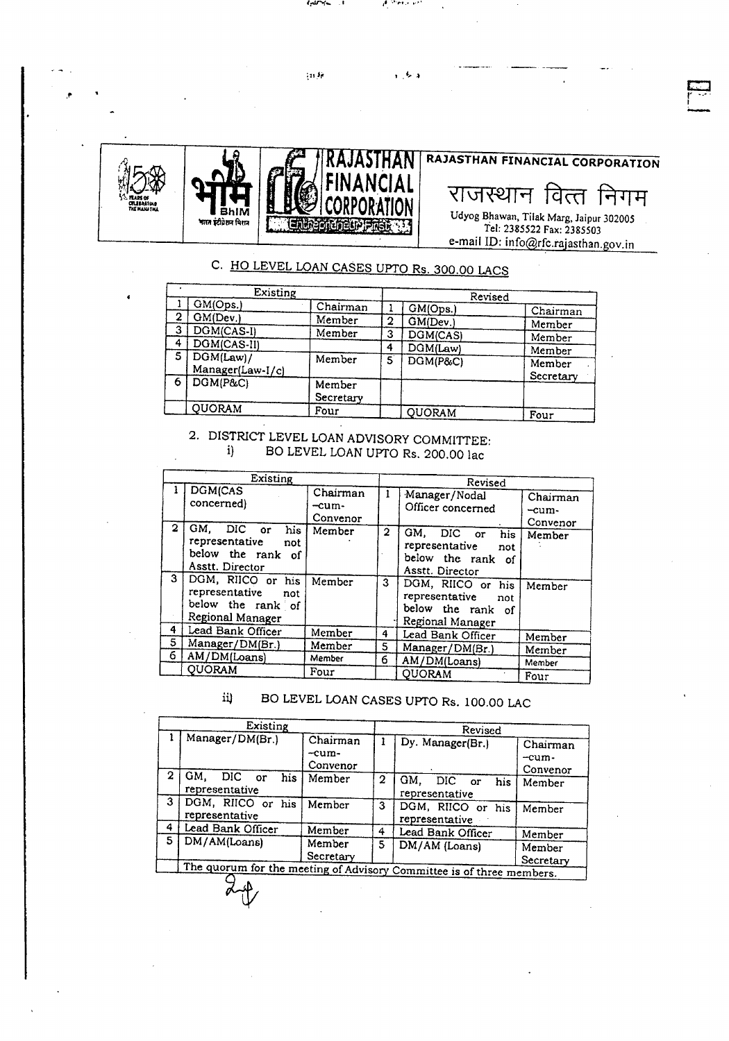

حنبره السياح

 $\sim 10$ 

المحلوم وجاذبهم

 $\epsilon \rightarrow \infty$ 

# C. HO LEVEL LOAN CASES UPTO Rs. 300.00 LACS

|   | Existing                         |                     |   | Revised       |            |
|---|----------------------------------|---------------------|---|---------------|------------|
|   | GM(Ops.)                         | Chairman            |   | GM(Ops.)      | Chairman   |
| 2 | GM(Dev.)                         | Member              | 2 | GM(Dev.)      | Member     |
| 3 | DGM(CAS-I)                       | Member              | 3 | DGM(CAS)      | Member     |
|   | DGM(CAS-II)                      |                     | 4 | DGM(Law)      | Member     |
| 5 | $DGM(Law)$ /<br>Manager(Law-I/c) | Member              | 5 | DGM(P&C)      | Member     |
| 6 | $DGM(P\&C)$                      | Member<br>Secretary |   |               | Secretary  |
|   | QUORAM                           | Four                |   | <b>QUORAM</b> | $F_{OIII}$ |

2. DISTRICT LEVEL LOAN ADVISORY COMMITTEE: BO LEVEL LOAN UPTO Rs. 200.00 lac  $i)$ 

| Existing |                                                                                                            |                                 | Revised |                                                                                                                       |                               |
|----------|------------------------------------------------------------------------------------------------------------|---------------------------------|---------|-----------------------------------------------------------------------------------------------------------------------|-------------------------------|
|          | DGM(CAS<br>concerned)                                                                                      | Chairman<br>$-cum-$<br>Convenor |         | Manager/Nodal<br>Officer concerned                                                                                    | Chairman<br>-cum-<br>Convenor |
| 2<br>3   | GM.<br>DIC or<br>his<br>representative<br>not<br>below the rank of<br>Asstt. Director<br>DGM, RIICO or his | Member<br>Member                | 2<br>3  | GM.<br>DIC.<br>his.<br>$\alpha$<br>representative<br>not<br>below the rank of<br>Asstt. Director<br>DGM, RIICO or his | Member<br>Member              |
|          | representative<br>not<br>below the rank of<br>Regional Manager                                             |                                 |         | representative<br>not<br>below the rank<br>of<br>Regional Manager                                                     |                               |
| 4        | Lead Bank Officer                                                                                          | Member                          | 4       | Lead Bank Officer                                                                                                     | Member                        |
| 5        | Manager/DM(Br.)                                                                                            | Member                          | 5       | Manager/DM(Br.)                                                                                                       | Member                        |
| 6        | AM/DM(Loans)                                                                                               | Member                          | 6.      | AM/DM(Loans)                                                                                                          | Member                        |
|          | <b>OUORAM</b>                                                                                              | Four                            |         | <b>OUORAM</b>                                                                                                         | Four                          |

#### BO LEVEL LOAN CASES UPTO Rs. 100.00 LAC ii)

|   | Existing                                                              |                                 |   | Revised                                |                               |  |
|---|-----------------------------------------------------------------------|---------------------------------|---|----------------------------------------|-------------------------------|--|
|   | Manager/DM(Br.)                                                       | Chairman<br>$-cum-$<br>Convenor |   | Dy. Manager(Br.)                       | Chairman<br>-cum-<br>Convenor |  |
| 2 | GM.<br>DIC or<br>his<br>representative                                | Member                          | 2 | GM.<br>DIC or<br>his<br>representative | Member                        |  |
| 3 | DGM, RIICO or his<br>representative                                   | Member                          | 3 | DGM, RIICO or his<br>representative    | Member                        |  |
| 4 | Lead Bank Officer                                                     | Member                          | 4 | Lead Bank Officer                      | Member                        |  |
| 5 | DM/AM(Loans)                                                          | Member<br>Secretary             | 5 | DM/AM (Loans)                          | Member<br>Secretary           |  |
|   | The quorum for the meeting of Advisory Committee is of three members. |                                 |   |                                        |                               |  |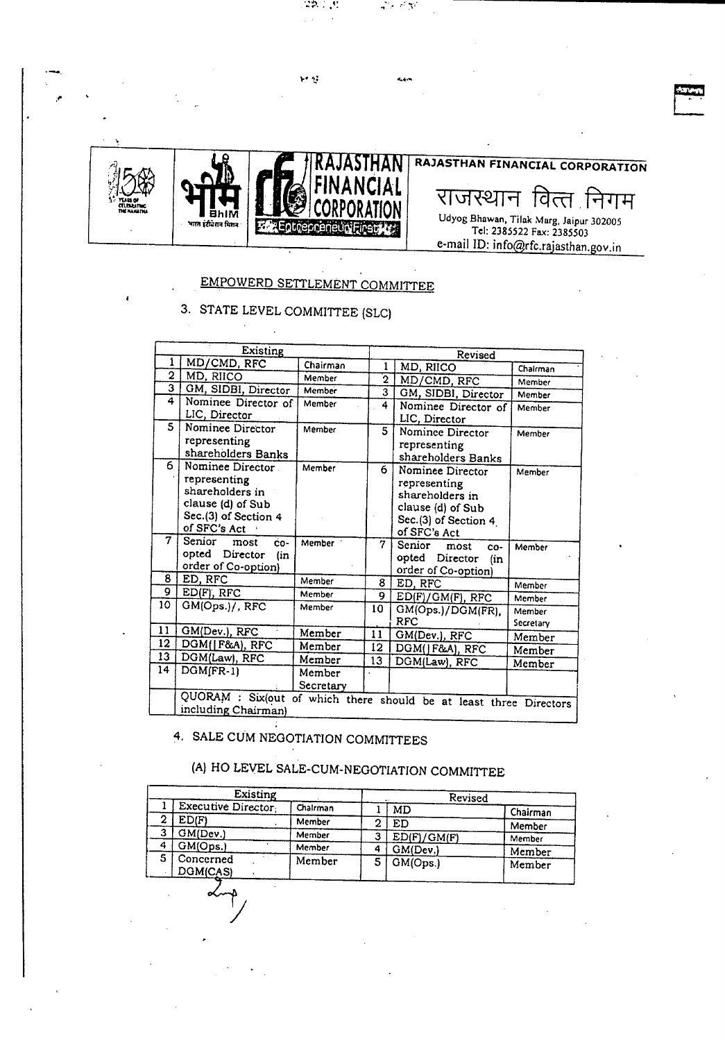

经登

•.••~ IP **.......**. "t",:.•• -~' ~.:

~ **Little** 

## EMPOWERD SETTLEMENT COMMITTEE

# 3. STATE LEVEL COMMITTEE (SLe)

|                | Existing              |           |                 | Revised                                                            |           |  |
|----------------|-----------------------|-----------|-----------------|--------------------------------------------------------------------|-----------|--|
|                | MD/CMD, RFC           | Chairman  | 1               | MD, RIICO<br>Chairman                                              |           |  |
| $\overline{2}$ | MD, RIICO             | Member    | $\overline{2}$  | MD/CMD, RFC                                                        | Member    |  |
| 3              | GM, SIDBI, Director   | Member    | 3               | GM, SIDBI, Director                                                | Member    |  |
| 4              | Nominee Director of   | Member    | 4               | Nominee Director of                                                | Member    |  |
|                | LIC, Director         |           |                 | LIC, Director                                                      |           |  |
| 5              | Nominee Director      | Member    | 5               | Nominee Director                                                   | Member    |  |
|                | representing          |           |                 | representing                                                       |           |  |
|                | shareholders Banks    |           |                 | shareholders Banks                                                 |           |  |
| 6              | Nominee Director      | Member    | 6               | Nominee Director                                                   | Member    |  |
|                | representing          |           |                 | representing                                                       |           |  |
|                | shareholders in       |           |                 | shareholders in                                                    |           |  |
|                | clause (d) of Sub     |           |                 | clause (d) of Sub                                                  |           |  |
|                | Sec.(3) of Section 4  |           |                 | Sec.(3) of Section 4                                               |           |  |
| 7              | of SFC's Act          |           |                 | of SFC's Act                                                       |           |  |
|                | Senior<br>CO-<br>most | Member 1  | 7               | Senior<br>most<br>CO-                                              | Member    |  |
|                | opted Director<br>(in |           |                 | opted Director<br>fin                                              |           |  |
|                | order of Co-option)   |           |                 | order of Co-option)                                                |           |  |
| 8              | ED, RFC               | Member    | 8               | ED, RFC                                                            | Member    |  |
| 9              | $ED(F)$ , RFC         | Member    | 9               | ED(F)/GM(F), RFC                                                   | Member    |  |
| 10             | GM(Ops.)/, RFC        | Member    | 10              | GM(Ops.)/DGM(FR),                                                  | Member    |  |
|                |                       |           |                 | <b>RFC</b>                                                         | Secretary |  |
| 11             | GM(Dev.), RFC         | Member    | 11              | GM(Dev.), RFC                                                      | Member    |  |
| 12             | DGM( F&A), RFC        | Member    | 12              | DGM(JF&A), RFC                                                     | Member    |  |
| 13             | DGM(Law), RFC         | Member    | 13 <sup>°</sup> | DGM(Law), RFC                                                      | Member    |  |
| 14             | $DGM$ $(FR-1)$        | Member    |                 |                                                                    |           |  |
|                |                       | Secretary |                 |                                                                    |           |  |
|                |                       |           |                 | QUORAM : Six(out of which there should be at least three Directors |           |  |
|                | including Chairman)   |           |                 |                                                                    |           |  |

4. SALE CUM NEGOTIATION COMMITTEES

~

# (A) HO LEVEL SALE-CUM-NEGOTIATION COMMITTEE

|   | Existing              |          |   | Revised     |          |
|---|-----------------------|----------|---|-------------|----------|
|   | Executive Director    | Chairman |   | <b>MD</b>   | Chairman |
|   | ED(F)                 | Member   | 2 | ED          | Member   |
| 3 | GM(Dev.)              | Member   | з | ED(F)/GM(F) | Member   |
| 4 | GM(Ops.)              | Member   | 4 | GM(Dev.)    | Member   |
| 5 | Concerned<br>DGM(CAS) | Member   | 5 | GM(Ops.)    | Member   |